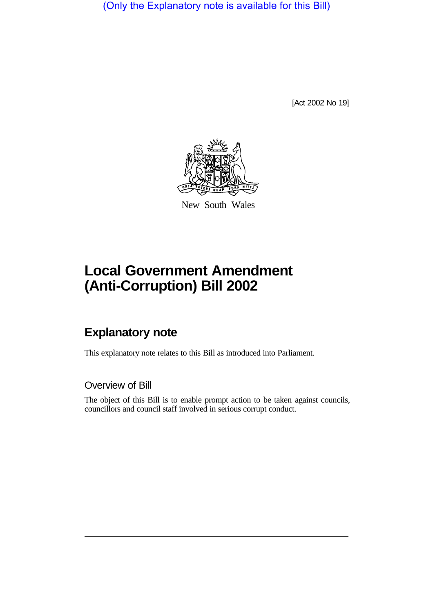(Only the Explanatory note is available for this Bill)

[Act 2002 No 19]



New South Wales

# **Local Government Amendment (Anti-Corruption) Bill 2002**

## **Explanatory note**

This explanatory note relates to this Bill as introduced into Parliament.

Overview of Bill

The object of this Bill is to enable prompt action to be taken against councils, councillors and council staff involved in serious corrupt conduct.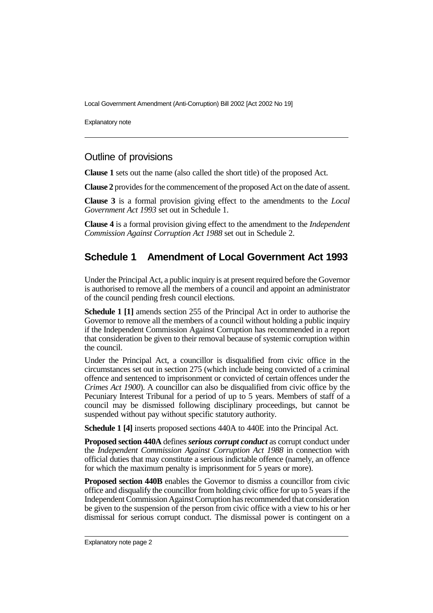Local Government Amendment (Anti-Corruption) Bill 2002 [Act 2002 No 19]

Explanatory note

### Outline of provisions

**Clause 1** sets out the name (also called the short title) of the proposed Act.

**Clause 2** provides for the commencement of the proposed Act on the date of assent.

**Clause 3** is a formal provision giving effect to the amendments to the *Local Government Act 1993* set out in Schedule 1.

**Clause 4** is a formal provision giving effect to the amendment to the *Independent Commission Against Corruption Act 1988* set out in Schedule 2.

### **Schedule 1 Amendment of Local Government Act 1993**

Under the Principal Act, a public inquiry is at present required before the Governor is authorised to remove all the members of a council and appoint an administrator of the council pending fresh council elections.

**Schedule 1 [1]** amends section 255 of the Principal Act in order to authorise the Governor to remove all the members of a council without holding a public inquiry if the Independent Commission Against Corruption has recommended in a report that consideration be given to their removal because of systemic corruption within the council.

Under the Principal Act, a councillor is disqualified from civic office in the circumstances set out in section 275 (which include being convicted of a criminal offence and sentenced to imprisonment or convicted of certain offences under the *Crimes Act 1900*). A councillor can also be disqualified from civic office by the Pecuniary Interest Tribunal for a period of up to 5 years. Members of staff of a council may be dismissed following disciplinary proceedings, but cannot be suspended without pay without specific statutory authority.

**Schedule 1 [4]** inserts proposed sections 440A to 440E into the Principal Act.

**Proposed section 440A** defines *serious corrupt conduct* as corrupt conduct under the *Independent Commission Against Corruption Act 1988* in connection with official duties that may constitute a serious indictable offence (namely, an offence for which the maximum penalty is imprisonment for 5 years or more).

**Proposed section 440B** enables the Governor to dismiss a councillor from civic office and disqualify the councillor from holding civic office for up to 5 years if the Independent Commission Against Corruption has recommended that consideration be given to the suspension of the person from civic office with a view to his or her dismissal for serious corrupt conduct. The dismissal power is contingent on a